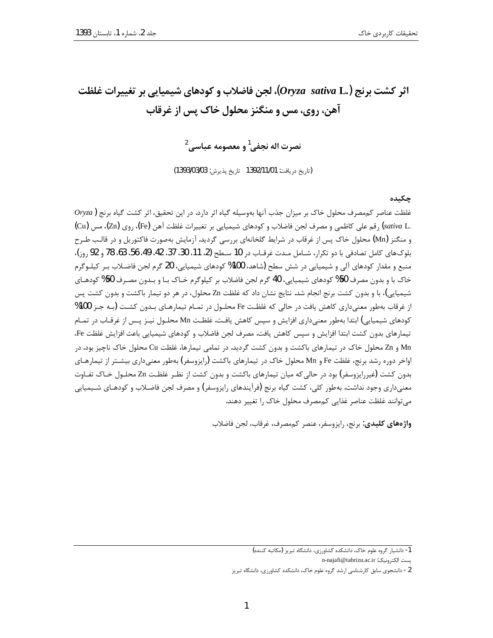# اثر كشت برنج (Oryza sativa L.)، لجن فاضلاب و كودهاي شيميايي بر تغييرات غلظت آهن، روي، مس و منگنز محلول خاک پس از غرقاب

نصرت اله نجفي <sup>1</sup> و معصومه عباسي <sup>2</sup>

(تاريخ دريافت: 1392/11/01 تاريخ پذيرش: 1393/03/03)

#### حكىدە

 $\emph{Oryza}$ ) غلظت عناصر كممصرف محلول خاك بر ميزان جذب آنها بهوسيله گياه اثر دارد. در اين تحقيق، اثر كشت گياه برنج .sativa L) رقم علی کاظمی و مصرف لجن فاضلاب و کودهای شیمیایی بر تغییرات غلظت آهن (Fe)، روی (Zn)، مس (Cu) و منگنز (Mn) محلول خاک پس از غرقاب در شرایط گلخانهای بررسی گردید. آزمایش بهصورت فاکتوریل و در قالب طـرح بلوكهاى كامل تصادفى با دو تكرار، شـامل مـدت غرقـاب در 10 سـطح (2، 11، 30، 37، 42، 48، 56، 58، 78 و 92 ,و;)، منبع و مقدار کودهای آلی و شیمیایی در شش سطح (شاهد، 100% کودهای شیمیایی، 20 گرم لجن فاضلاب بـر کیلـوگرم خاک با و بدون مصرف 50% کودهای شیمیایی، 40 گرم لجن فاضلاب بر کیلوگرم خـاک بـا و بـدون مصـرف 50% کودهـای شیمیایی)، با و بدون کشت برنج انجام شد. نتایج نشان داد که غلظت Zn محلول، در هر دو تیمار باکشت و بدون کشت پس از غرقاب بهطور معنیداری کاهش یافت در حالی که غلظت Fe محلـول در تمـام تیمارهـای بـدون کشـت (بـه جـز 100% کودهای شیمیایی) ابتدا بهطور معنیداری افزایش و سپس کاهش یافت. غلظت Mn محلـول نیــز پــس از غرقــاب در تمــام تيمارهاي بدون كشت ابتدا افزايش و سپس كاهش يافت. مصرف لجن فاضلاب و كودهاي شيميايي باعث افزايش غلظت Fe، Mn و Zn محلول خاک در تیمارهای باکشت و بدون کشت گردید. در تمامی تیمارها، غلظت Cu محلول خاک ناچیز بود. در اواخر دوره رشد برنج، غلظت Fe و Mn محلول خاک در تیمارهای باکشت (رایزوسفر) بهطور معنیداری بیشـتر از تیمارهـای بدون کشت (غیررایزوسفر) بود در حالی که میان تیمارهای باکشت و بدون کشت از نظـر غلظـت Zn محلـول خـاک تفـاوت معنیداری وجود نداشت. بهطور کلی، کشت گیاه برنج (فرآیندهای رایزوسفر) و مصرف لجن فاضـلاب و کودهـای شـیمیایی می توانند غلظت عناصر غذایی کممصرف محلول خاک را تغییر دهند.

واژەهای كليدی: برنج، رايزوسفر، عنصر كممصرف، غرقاب، لجن فاضلاب

m-najafi@tabrizu.ac.ir :پست الكترونيک

<sup>1-</sup> دانشیار گروه علوم خاک، دانشکده کشاورزی، دانشگاه تبریز (مکاتبه کننده)

<sup>2 -</sup> دانشجوی سابق کارشناسی ارشد گروه علوم خاک، دانشکده کشاورزی، دانشگاه تبریز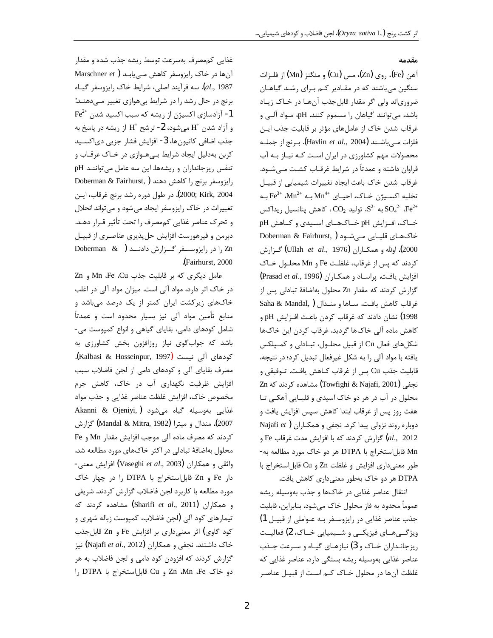#### مقدمه

آهن (Fe)، روي (Zn)، مس (Cu) و منگنز (Mn) از فلــزات سنگین می باشند که در مقـادیر کـم بـرای رشـد گیاهـان ضرورياند ولي اگر مقدار قابل جذب آنها در خـاک زيـاد باشد، میتوانند گیاهان را مسموم کنند. pH، مواد آلبی و غرقاب شدن خاک از عاملهای مؤثر بر قابلیت جذب ایـن فلزات مــ باشــند (Havlin *et al.*, 2004**).** بـرنج از جملــه محصولات مهم کشاورزی در ایران است کـه نیـاز بـه آب فراوان داشته و عمدتاً در شرایط غرقـاب کشـت مـیشـود. غرقاب شدن خاک باعث ایجاد تغییرات شیمیایی از قبیـل به Fe $^{3+}$  ،Mn $^{2+}$  به Mn $^{4+}$  به Fe $^{3+}$  ،Mn $^{2+}$ به  ${}^2$ ، تولید  ${}^2$ ، کاهش یتانسیل ریداکس SO $_4^2$   ${}^1$ ،  ${}^1$ و خــاک، افــزايش pH خــاکـهــای اســيدی و کــاهش pH خاکهای قلیایی می شود ( ,Doberman & Fairhurst 2000). اولله و همكــاران (Ullah et al., 1976) گـزارش كردند كه يس از غرقاب، غلظت Fe و Mn محلـول خـاك افزایش یافت. پراسـاد و همكـاران (Prasad et al., 1996) گزارش کردند که مقدار Zn محلول بهاضافهٔ تبادلی پس از غرقاب كاهش يافت. سـاها و منـدال ( Saha & Mandal, 1998) نشان دادند که غرقاب کردن باعث افـزايش pH و كاهش ماده آلى خاك ها گرديد. غرقاب كردن اين خاك ها شكلهاي فعال Cu از قبيل محلـول، تبـادلى و كمـپلكس یافته با مواد آلی را به شکل غیرفعال تبدیل کرد؛ در نتیجه، قابلیت جذب Cu پس از غرقاب کـاهش یافـت. تــوفیقی و Zn نجفی (Towfighi & Najafi, 2001) مشاهده کردند که محلول در آب در هر دو خاک اسیدی و قلیـایی آهکـی تـا هفت روز پس از غرقاب ابتدا كاهش سپس افزايش يافت و دوباره روند نزولی پیدا کرد. نجفی و همکـاران ( Najafi et وارش كردند كه با افزايش مدت غرقاب Fe و $l$ ., 2012 Mn قابل|ستخراج با DTPA هر دو خاک مورد مطالعه به-طور معنى دارى افزايش و غلظت Zn و Cu قابل استخراج با DTPA هر دو خاک بهطور معنیداری کاهش یافت.

انتقال عناصر غذايي در خاكها و جذب بهوسيله ريشه عموماً محدود به فاز محلول خاک میشود. بنابراین، قابلیت جذب عناصر غذايي در رايزوسـفر بـه عـواملي از قبيـل 1) ویژگی های فیزیکی و شیمیایی خیاک، 2) فعالیت ریزجانـداران خـاک و 3) نیازهـای گیـاه و سـرعت جـذب عناصر غذایی بهوسیله ریشه بستگی دارد. عناصر غذایی که غلظت آنها در محلول خـاک کـم اسـت از قبيـل عناصـر

غذایی کممصرف بهسرعت توسط ریشه جذب شده و مقدار آنها در خاک رایزوسفر کاهش مے یابد ( Marschner et al., 1987). سه فرآیند اصلی، شرایط خاک رایزوسفر گیـاه برنج در حال رشد را در شرایط بیهوازی تغییر میدهند: Fe $^{2+}$  آزادسازی اکسیژن از ریشه که سبب اکسید شدن  $\mathrm{Fe}^{2+}$ و آزاد شدن  $\rm{H}^{+}$  میشود، 2- ترشح  $\rm{H}^{+}$  از ریشه در پاسخ به جذب اضافي كاتيونها، 3- افزايش فشار جزيي دياكسـيد کربن بهدلیل ایجاد شرایط بهههوازی در خـاک غرقـاب و تنفس ریزجانداران و ریشهها. این سه عامل می توانند pH Doberman & Fairhurst, ) رايزوسفر برنج را كاهش دهند 2000; Kirk, 2004). در طول دوره رشد برنج غرقاب، ايـن تغییرات در خاک رایزوسفر ایجاد می شود و می تواند انحلال و تحرک عناصر غذایی کممصرف را تحت تأثیر قـرار دهـد. دبرمن و فیرهورست افزایش حل پذیری عناصری از قبیـل Doberman & ) را در رایزوسـفر گـزارش دادنـد .(Fairhurst, 2000

عامل دیگری که بر قابلیت جذب Mn .Fe .Cu و Zn در خاک اثر دارد، مواد آلی است. میزان مواد آلی در اغلب خاکهای زیرکشت ایران کمتر از یک درصد میباشد و منابع تأمين مواد آلى نيز بسيار محدود است و عمدتاً شامل کودهای دامی، بقایای گیاهی و انواع کمپوست می-باشد که جوابگوی نیاز روزافزون بخش کشاورزی به كودهاي آلي نيست (Kalbasi & Hosseinpur, 1997). مصرف بقایای آلی و کودهای دامی از لجن فاضلاب سبب افزایش ظرفیت نگهداری آب در خاک، کاهش جرم مخصوص خاک، افزایش غلظت عناصر غذایی و جذب مواد Akanni & Ojeniyi, ) غذایی بهوسیله گیاه میشود 2007). مندال و ميترا (Mandal & Mitra, 1982) گزارش كردند كه مصرف ماده آلي موجب افزايش مقدار Mn و Fe محلول بهاضافهٔ تبادلی در اکثر خاکهای مورد مطالعه شد. واثقى و همكاران (Vaseghi *et al.*, 2003) افزايش معنى-دار Fe و Zn قابل استخراج با DTPA را در چهار خاک مورد مطالعه با كاربرد لجن فاضلاب گزارش كردند. شريفي و همکاران (Sharifi et al., 2011) مشاهده کردند که تیمارهای کود آلی (لجن فاضلاب، کمپوست زباله شهری و کود گاوی) اثر معنیداری بر افزایش Fe و Zn قابلجذب خاک داشتند. نجفی و همکاران (Najafi et al., 2012) نیز گزارش کردند که افزودن کود دامی و لجن فاضلاب به هر دو خاک Zn ،Mn ،Fe و Cu قابل|ستخراج با DTPA ,ا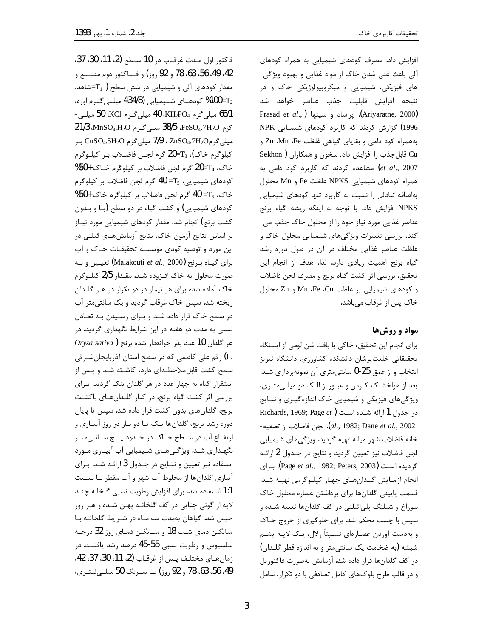فاكتور اول مدت غرقـاب در 10 سـطح (2، 11، 30، 37. 42، 49، 56، 58، 78 و 92 روز) و فساكتور دوم منبسع و مقدار کودهای آلی و شیمیایی در شش سطح  $\mathrm{T_{1}}$  ) مقدار کودهـای شـیمیایی (434/8 میلــیگـرم اوره،  $100\text{=} \mathrm{T}_2$ 66/1 میلیگرم KH2PO4، 40 میلیگرم KCl، 50 میلی- $21/3$  MnSO4.H<sub>2</sub>O میلی گرم 38/5 MnSO4.H<sub>2</sub>O در 21/3 میلی گرم2nSO4.7H2O ، 7/9 میلی گرم CuSO4.5H2O بر كيلوگرم خاك)، 73=20 گرم لجـن فاضـلاب بـر كيلـوگرم خاک، 20=21 گرم لجن فاضلاب بر کیلوگرم خـاک +50% كودهاي شيميايي،  $\rm{T_5}$  =10 گرم لجن فاضلاب بر كيلوگرم خاک،  $T_6$  = 40 گرم لجن فاضلاب بر کیلوگرم خاک +50% کودهای شیمیایی) و کشت گیاه در دو سطح (با و بـدون کشت برنج) انجام شد. مقدار کودهای شیمیایی مورد نیـاز بر اساس نتایج آزمون خاک، نتایج آزمایشهـای قبلـی در این مورد و توصیه کودی مؤسسه تحقیقات خـاک و آب برای گیــاه بـرنج (Malakouti *et al.,* 2000) تعیــین و بــه صورت محلول به خاک افـزوده شـد. مقـدار 2/5 کيلـوگرم خاک آماده شده برای هر تیمار در دو تکرار در هـر گلـدان ریخته شد. سپس خاک غرقاب گردید و یک سانتی متر آب در سطح خاک قرار داده شد و برای رسیدن به تعادل نسبی به مدت دو هفته در این شرایط نگهداری گردید. در  $O$ ryza sativa) مر گلدان 10 عدد بذر جوانهدار شده برنج .L) رقم علی کاظمی که در سطح استان آذربایجانشـرقی سطح کشت قابل ملاحظـهای دارد، کاشـته شـد و پـس از استقرار گیاه به چهار عدد در هر گلدان تنک گردید. برای بررسی اثر کشت گیاه برنج، در کنار گلدانهای باکشت برنج، گلدانهای بدون کشت قرار داده شد. سپس تا پایان دوره رشد برنج، گلدانها یـک تـا دو بـار در روز آبیـاری و ارتفـاع آب در سـطح خـاک در حـدود پـنج سـانتىمتـر نگهـداري شـد. ويژگـيهـاي شـيميايي آب آبيـاري مـورد استفاده نیز تعیین و نتـایج در جـدول 3 ارائـه شـد. بـرای آبیاری گلدانها از مخلوط آب شهر و آب مقطر بـا نسـبت 1:1 استفاده شد. براي افزايش رطوبت نسبي گلخانه چنـد لايه از گوني چتايي در كف گلخانــه پهــن شــده و هــر روز خیس شد. گیاهان بهمدت سه ماه در شرایط گلخانـه با میانگین دمای شب 18 و میـانگین دمـای روز 32 درجـه سلسیوس و رطوبت نسبی 55-45 درصد رشد یافتنـد. در زمان هاي مختلـف يـس از غرقـاب (2، 11، 30، 37، 42. 49، 56، 63، 78 و 92 روز) با سےرنگ 50 میلے لیتے ی،

تحقيقات كاربردى خاك

افزایش داد. مصرف کودهای شیمیایی به همراه کودهای آلي باعث غني شدن خاک از مواد غذايي و بهبود ويژگي-های فیزیکی، شیمیایی و میکروبیولوژیکی خاک و در نتيجه افزايش قابليت جذب عناصر خواهد شد Prasad et al., ) براساد و سينها) (Ariyaratne, 2000) 1996) گزارش کردند که کاربرد کودهای شیمیایی NPK بههمراه كود دامى و بقاياى كياهى غلظت Zn ،Mn ،Fe Cu قابل جذب را افزایش داد. سخون و همکاران ( Sekhon et al., 2007) مشاهده کردند که کاربرد کود دامی به همراه كودهاى شيميايي NPKS غلظت Fe و Mn محلول بهاضافه تبادلی را نسبت به کاربرد تنها کودهای شیمیایی NPKS افزایش داد. با توجه به اینکه ریشه گیاه برنج عناصر غذایی مورد نیاز خود را از محلول خاک جذب می-کند، بررسی تغییرات ویژگیهای شیمیایی محلول خاک و غلظت عناصر غذایی مختلف در آن در طول دوره رشد گیاه برنج اهمیت زیادی دارد. لذا، هدف از انجام این تحقيق، بررسي اثر كشت گياه برنج و مصرف لجن فاضلاب و كودهاى شيميايى بر غلظت Mn ،Fe ،Cu و Zn محلول خاک پس از غرقاب میباشد.

### مواد و روش ها

برای انجام این تحقیق، خاکی با بافت شن لومی از ایستگاه تحقيقاتي خلعت پوشان دانشكده كشاورزى، دانشگاه تبريز انتخاب و از عمق 25-0 سانتي متري آن نمونهبرداري شـد. بعد از هواخشـک کـردن و عبـور از الـک دو میلـی متـری، ویژگیهای فیزیکی و شیمیایی خاک اندازهگیری و نتـایج در جدول 1 ارائه شـده اسـت (Richards, 1969; Page et - مار باز تصفيه). [al., 1982; Dane et al., 2002] خانه فاضلاب شهر ميانه تهيه گرديد. ويژگىهاى شيميايى لجن فاضلاب نيز تعيين گرديد و نتايج در جـدول 2 ارائـه گردیده است (Page et al., 1982; Peters, 2003). برای انجام آزمـايش گلـدانهـاي چهـار كيلـوگرمي تهيـه شـد. قسمت پایینی گلدانها برای برداشتن عصاره محلول خاک سوراخ و شیلنگ پلیاتیلنی در کف گلدانها تعبیه شده و سپس با چسب محکم شد. برای جلوگیری از خروج خـاک و بهدست آوردن عصـارهای نسـبتاً زلال، یـک لایـه پشـم شيشه (به ضخامت يک سانتي متر و به اندازه قطر گلـدان) در كف گلدانها قرار داده شد. آزمايش بهصورت فاكتوريل و در قالب طرح بلوکهای کامل تصادفی با دو تکرار، شامل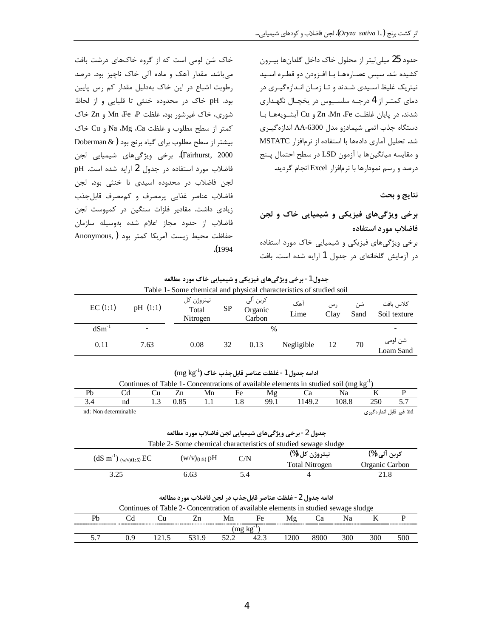حدود 25 میلی لیتر از محلول خاک داخل گلدانها بیـرون کشیده شد. سپس عصارههـا بـا افـزودن دو قطـره اسـید نیتریک غلیظ اسـیدی شـدند و تـا زمـان انـدازهگیـری در دمای کمتـر از 4 درجـه سلسـيوس در يخچـال نگهـداری شدند. در پایان غلظت Zn ،Mn ،Fe و Cu آبشویهها با دستگاه جذب اتمی شیمادزو مدل AA-6300 اندازهگیـری شد. تحلیل آماری دادهها با استفاده از نرمافزار MSTATC و مقايسه ميانگينها با آزمون LSD در سطح احتمال پنج درصد و رسم نمودارها با نرمافزار Excel انجام گردید.

نتايج و بحث

# برخی ویژگیهای فیزیکی و شیمیایی خاک و لجن فاضلاب مورد استفاده

برخی ویژگیهای فیزیکی و شیمیایی خاک مورد استفاده در آزمایش گلخانهای در جدول 1 ارایه شده است. بافت

خاک شن لومی است که از گروه خاکهای درشت بافت میباشد. مقدار آهک و ماده آلی خاک ناچیز بود. درصد رطوبت اشباع در این خاک بهدلیل مقدار کم رس پایین بود. pH خاک در محدوده خنثی تا قلیایی و از لحاظ شوری، خاک غیرشور بود. غلظت Mn ،Fe ،P و Zn خاک كمتر از سطح مطلوب و غلظت Na ،Mg .Ca و Cu خاك بیشتر از سطح مطلوب برای گیاه برنج بود ( Doberman & Fairhurst, 2000). برخی ویژگیهای شیمیایی لجن فاضلاب مورد استفاده در جدول 2 ارايه شده است. pH لجن فاضلاب در محدوده اسیدی تا خنثی بود. لجن فاضلاب عناصر غذايي پرمصرف و كممصرف قابلجذب زیادی داشت. مقادیر فلزات سنگین در کمیوست لجن فاضلاب از حدود مجاز اعلام شده بهوسيله سازمان حفاظت محيط زيست آمريكا كمتر بود ( ,Anonymous  $(1994$ 

جدول 1- برخی ویژگیهای فیزیکی و شیمیایی خاک مورد مطالعه

| Table 1- Some chemical and physical characteristics of studied soil |                          |                                       |    |                               |             |             |            |                           |  |  |
|---------------------------------------------------------------------|--------------------------|---------------------------------------|----|-------------------------------|-------------|-------------|------------|---------------------------|--|--|
| EC(1:1)                                                             | pH(1:1)                  | نيتروژن کل<br>SP<br>Total<br>Nitrogen |    | كربن آلى<br>Organic<br>Carbon | آهک<br>Lime | ر س<br>Clay | شن<br>Sand | كلاس بافت<br>Soil texture |  |  |
| $dSm^{-1}$                                                          | $\overline{\phantom{0}}$ |                                       |    | $\frac{0}{0}$                 |             |             |            |                           |  |  |
| 0.11                                                                | 7.63                     | 0.08                                  | 32 | 0.13                          | Negligible  | 12          | 70         | شن لومي<br>Loam Sand      |  |  |

|  |  | ادامه جدول 1- غلظت عناصر قابلجذب خاک $(\rm{mg}\,kg^{-1})$ |  |
|--|--|-----------------------------------------------------------|--|
|--|--|-----------------------------------------------------------|--|

| Continues of Table 1- Concentrations of available elements in studied soil (mg $kg^{-1}$ ) |                      |  |      |    |    |      |       |       |                                  |  |
|--------------------------------------------------------------------------------------------|----------------------|--|------|----|----|------|-------|-------|----------------------------------|--|
|                                                                                            |                      |  |      | Mn | Fe |      |       |       |                                  |  |
|                                                                                            | nd                   |  | 0 85 |    |    | 99.1 | 149.2 | 108.8 | 250-                             |  |
|                                                                                            | nd: Non determinable |  |      |    |    |      |       |       | nd: غیر قابل اندازہ <i>گ</i> یری |  |

جدول 2- برخي ويژگيهاي شيميايي لجن فاضلاب مورد مطالعه

| Table 2- Some chemical characteristics of studied sewage sludge |                    |     |                                         |                                |  |  |  |  |  |
|-----------------------------------------------------------------|--------------------|-----|-----------------------------------------|--------------------------------|--|--|--|--|--|
| $(dS \text{ m}^{-1})_{(w/v)(1:5)}$ EC                           | $(W/V)_{(1:5)}$ pH | C/N | نيتروژن کل (%)<br><b>Total Nitrogen</b> | کربن آلی (%)<br>Organic Carbon |  |  |  |  |  |
| 3.25                                                            | 6.63               | 54  |                                         | 21.8                           |  |  |  |  |  |

ادامه جدول 2- غلظت عناصر قابلجذب در لجن فاضلاب مورد مطالعه

| Continues of Table 2- Concentration of available elements in studied sewage sludge |     |  |  |    |          |     |  |  |  |     |
|------------------------------------------------------------------------------------|-----|--|--|----|----------|-----|--|--|--|-----|
| Ph                                                                                 |     |  |  | Mn | $H \rho$ |     |  |  |  |     |
| -----------<br>mgkg                                                                |     |  |  |    |          |     |  |  |  |     |
|                                                                                    | , ч |  |  |    |          | 200 |  |  |  | 500 |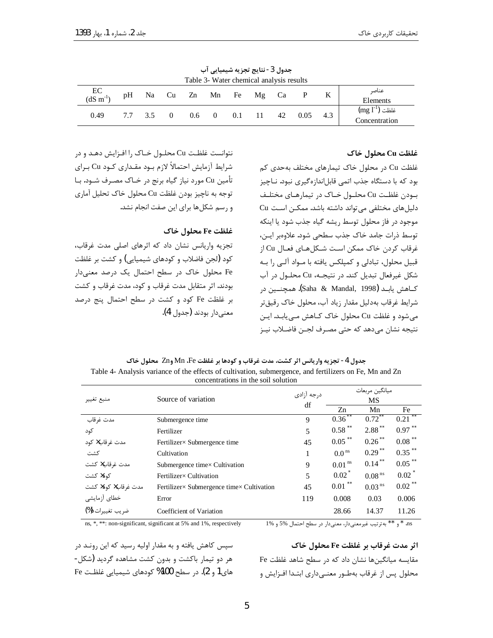| جعرن فتستعيض حبرية مسيسية يبي<br>Table 3- Water chemical analysis results |    |         |  |     |                   |                |                        |    |      |     |                                                 |
|---------------------------------------------------------------------------|----|---------|--|-----|-------------------|----------------|------------------------|----|------|-----|-------------------------------------------------|
| $\frac{EC}{dS \, m^{-1}}$                                                 | pH |         |  |     |                   |                | Na Cu Zn Mn Fe Mg Ca P |    |      |     | عناصر<br>Elements                               |
| 0.49                                                                      |    | 7.7 3.5 |  | 0.6 | $\hspace{1.6cm}0$ | $0.1 \quad 11$ |                        | 42 | 0.05 | 4.3 | $\rm (mg\ l^{\text{-}1})$ غلظت<br>Concentration |

حدمل 3-نتارچ تجزیه شیمیان آب

#### غلظت Cu محلول خاک

غلظت Cu در محلول خاک تیمارهای مختلف بهحدی کم بود که با دستگاه جذب اتمی قابلاندازهگیری نبود. نـاچیز بودن غلظت Cu محلـول خـاک در تيمارهـاي مختلـف دلیلهای مختلفی می تواند داشته باشد. ممکن است Cu موجود در فاز محلول توسط ريشه گياه جذب شود يا اينكه توسط ذرات جامد خاک جذب سطحی شود. علاوهبر ایـن، غرقاب كردن خاك ممكن است شـكلهـاي فعـال Cu از قبیل محلول، تبادلی و کمیلکس یافته با مـواد آلـی را بـه شكل غيرفعال تبديل كند. در نتيجـه، Cu محلـول در آب كــاهش يابــد (Saha & Mandal, 1998). همچنــين در شرايط غرقاب بهدليل مقدار زياد آب، محلول خاک رقيق تر می شود و غلظت Cu محلول خاک کـاهش مـی یابـد. ایـن نتيجه نشان مي دهد كه حتى مصـرف لجـن فاضـلاب نيـز

نتوانست غلظت Cu محلـول خـاک را افـزايش دهـد و در شرايط آزمايش احتمالاً لازم بـود مقـداري كـود Cu بـراي تأمين Cu مورد نياز گياه برنج در خـاک مصـرف شــود. بــا توجه به ناچيز بودن غلظت Cu محلول خاک تحليل آماري و رسم شکلها برای این صفت انجام نشد.

### غلظت Fe محلول خاک

تجزیه واریانس نشان داد که اثرهای اصلی مدت غرقاب، کود (لجن فاضلاب و کودهای شیمیایی) و کشت بر غلظت Fe محلول خاک در سطح احتمال یک درصد معنیدار بودند. اثر متقابل مدت غرقاب و كود، مدت غرقاب و كشت بر غلظت Fe كود و كشت در سطح احتمال پنج درصد معنى دار بودند (جدول 4).

جدول 4- تجزيه واريانس اثر كشت، مدت غرقاب و كودها بر غلظت Mn ،Fe وZn محلول خاك Table 4- Analysis variance of the effects of cultivation, submergence, and fertilizers on Fe, Mn and Zn concentrations in the soil solution

|                                  |                                           | درجه آزادى | ميانگين مربعات       |                                        |                      |  |
|----------------------------------|-------------------------------------------|------------|----------------------|----------------------------------------|----------------------|--|
| منبع تغيير                       | Source of variation                       | df         |                      | MS                                     |                      |  |
|                                  |                                           |            | Zn                   | Mn                                     | Fe                   |  |
| مدت غرقاب                        | Submergence time                          | 9          | 0.36                 | $0.72$ <sup><math>\degree</math></sup> | 0.21                 |  |
| کود                              | Fertilizer                                | 5          | 0.58                 | $2.88$ **                              | $0.97$ <sup>**</sup> |  |
| مدت غر قاب× کود                  | Fertilizer × Submergence time             | 45         | $0.05$ <sup>**</sup> | $0.26$ <sup>**</sup>                   | $0.08$ **            |  |
| كشت                              | Cultivation                               |            | 0.0 <sup>ns</sup>    | $0.29$ <sup>**</sup>                   | $0.35$ **            |  |
| مدت غرقاب× كشت                   | Submergence timex Cultivation             | 9          | 0.01 <sup>ns</sup>   | $0.14$ **                              | $0.05$ <sup>**</sup> |  |
| کود× کشت                         | Fertilizer × Cultivation                  | 5          | $0.02^*$             | $0.08$ <sup>ns</sup>                   | $0.02$ <sup>*</sup>  |  |
| مدت غ <sub>ر</sub> قاب× کود× کشت | Fertilizer× Submergence time× Cultivation | 45         | $0.01$ **            | 0.03 <sup>ns</sup>                     | $0.02$ <sup>**</sup> |  |
| خطاي أزمايشي                     | Error                                     | 119        | 0.008                | 0.03                                   | 0.006                |  |
| ضريب تغييرات (%)                 | Coefficient of Variation                  |            | 28.66                | 14.37                                  | 11.26                |  |

ns, \*, \*\*: non-significant, significant at 5% and 1%, respectively

ns \* و \*\* بهترتيب غيرمعنىدار، معنىدار در سطح احتمال %5 و 1%

سیس کاهش یافته و به مقدار اولیه رسید که این رونـد در هر دو تیمار باکشت و بدون کشت مشاهده گردید (شکل-های1 و 2). در سطح 100% کودهای شیمیایی غلظت Fe

اثر مدت غرقاب بر غلظت Fe محلول خاک مقایسه میانگینها نشان داد که در سطح شاهد غلظت Fe محلول پس از غرقاب بهطـور معنـی۱دری ابتـدا افـزایش و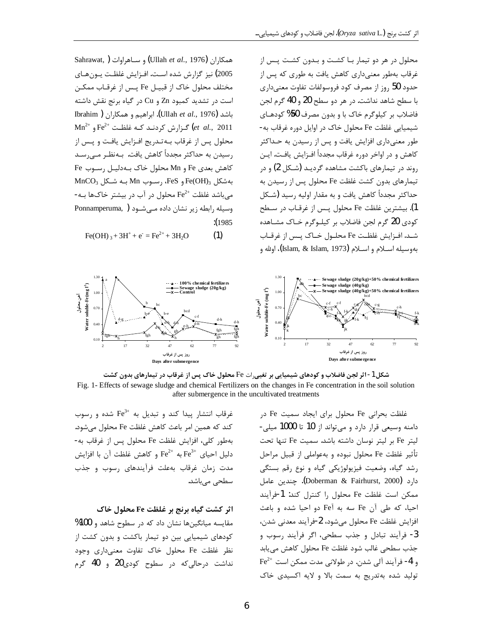محلول در هر دو تیمار بـا کشـت و بـدون کشـت پـس از

غرقاب بەطور معنیداری کاهش یافت به طوری که پس از

حدود 50 روز از مصرف کود فروسولفات تفاوت معنىدارى با سطح شاهد نداشت. در هر دو سطح 20 و 40 گرم لجن

فاضلاب بر کیلوگرم خاک با و بدون مصرف 50% کودهـای

شیمیایی غلظت Fe محلول خاک در اوایل دوره غرقاب به-

طور معنیداری افزایش یافت و پس از رسیدن به حـداکثر

كاهش و در اواخر دوره غرقاب مجدداً افـزايش يافـت. ايـن

روند در تیمارهای باکشت مشاهده گردیـد (شـکل 2) و در

تیمارهای بدون کشت غلظت Fe محلول پس از رسیدن به

حداکثر مجدداً کاهش یافت و به مقدار اولیه رسید (شـکل

1). بيشترين غلظت Fe محلول پـس از غرقـاب در سـطح کودی 20 گرم لجن فاضلاب بر کیلوگرم خـاک مشـاهده

شـد. افـزايش غلظـت Fe محلـول خـاک يـس از غرقـاب

بهوسيله اسـلام و اسـلام (Islam, & Islam, 1973)، اولله و

Sahrawat, ) و ساهراوات (Ullah et al., 1976) 2005) نیز گزارش شده است. افـزایش غلظـت یـونهـای مختلف محلول خاک از قبیـل Fe پـس از غرقـاب ممکـن است در تشدید کمبود Zn و Cu در گیاه برنج نقش داشته Ibrahim ) باشد (Ullah et al., 1976). ابراهیم و همکاران  $\text{Mn}^{2+}$  و  $\text{Fe}^{2+}$   $\text{Fe}^{2+}$  و  $\text{Fe}^{2+}$  و  $\text{Fe}^{2+}$  و  $\text{Fe}^{2+}$  و  $\text{Fe}^{2+}$ محلول پس از غرقاب بـهتـدریج افـزایش یافـت و پـس از رسیدن به حداکثر مجدداً کاهش یافت. بـهنظـر مـی٫سـد كاهش بعدى Fe و Mn محلول خاك بـهدليـل رسـوب Fe  $MnCO<sub>3</sub>$  بهشکل Fe(OH)<sub>3</sub> و FeS، رسـوب Mn می باشد غلظت  $\rm{Fe}^{2+}$  محلول در آب در بیشتر خاکها بـه-Ponnamperuma, ) وسیله رابطه زیر نشان داده مـی شـود  $: (1985)$ 

 $Fe(OH)$ <sub>3</sub> + 3H<sup>+</sup> +  $e^-$  =  $Fe^{2+}$  + 3H<sub>2</sub>O  $(1)$ 



شکل 1- اثر لجن فاضلاب و کودهای شیمیایی بر تغیی٫ات Fe محلول خاک پس از غرقاب در تیمارهای بدون کشت Fig. 1- Effects of sewage sludge and chemical Fertilizers on the changes in Fe concentration in the soil solution after submergence in the uncultivated treatments

غرقاب انتشار پیدا کند و تبدیل به  $\mathrm{Fe^{3+}}$  شده و رسوب كند كه همين امر باعث كاهش غلظت Fe محلول مى شود. بهطور كلي، افزايش غلظت Fe محلول يس از غرقاب به- $\rm{Fe}^{3+}$  دلیل احیای  $\rm{Fe}^{3+}$  به  $\rm{Fe}^{2+}$  و کاهش غلظت آن با افزایش مدت زمان غرقاب بهعلت فرآیندهای رسوب و جذب سطحی مے باشد.

### اثر کشت گیاه برنج بر غلظت Fe محلول خاک

مقایسه میانگینها نشان داد که در سطوح شاهد و 100% کودهای شیمیایی بین دو تیمار باکشت و بدون کشت از نظر غلظت Fe محلول خاک تفاوت معنیداری وجود نداشت درحالی که در سطوح کودی20 و 40 گرم

غلظت بحرانی Fe محلول برای ایجاد سمیت Fe در دامنه وسیعی قرار دارد و می تواند از 10 تا 1000 میلی-ليتر Fe بر ليتر نوسان داشته باشد. سميت Fe تنها تحت تأثير غلظت Fe محلول نبوده و بهعواملي از قبيل مراحل رشد گیاه، وضعیت فیزیولوژیکی گیاه و نوع رقم بستگی دارد (Doberman & Fairhurst, 2000). چندین عامل ممكن است غلظت Fe محلول را كنترل كند: 1-فرآيند احيا، كه طي آن Fe سه به Fe دو احيا شده و باعث افزايش غلظت Fe محلول مي شود، 2-فرآيند معدني شدن، 3- فرآیند تبادل و جذب سطحی، اگر فرآیند رسوب و جذب سطحي غالب شود غلظت Fe محلول كاهش مي يابد  $Fe^{2+}$  و 4- فرآیند آلی شدن. در طولانی مدت ممکن است تولید شده بهتدریج به سمت بالا و لایه اکسیدی خاک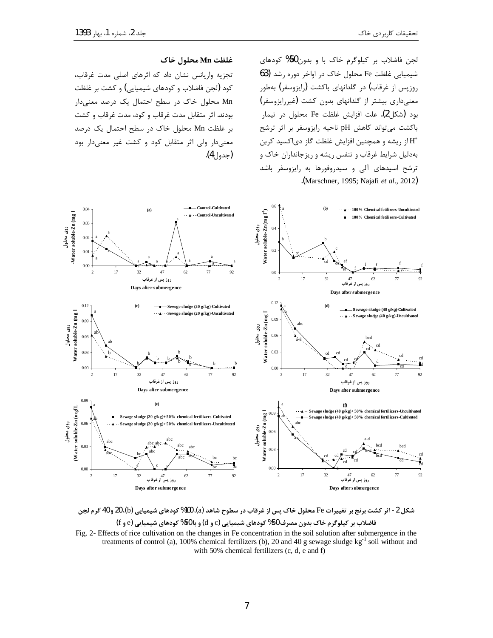لجن فاضلاب بر کیلوگرم خاک با و بدون50% کودهای شیمیایی غلظت Fe محلول خاک در اواخر دوره رشد (63 روزپس از غرقاب) در گلدانهای باکشت (رایزوسفر) بهطور معنیداری بیشتر از گلدانهای بدون کشت (غیررایزوسفر) بود (شكل2). علت افزايش غلظت Fe محلول در تيمار باکشت میتواند کاهش pH ناحیه رایزوسفر بر اثر ترشح از ریشه و همچنین افزایش غلظت گاز دیاکسید کربن $\mathrm{H}^{\!+}$ بهدلیل شرایط غرقاب و تنفس ریشه و ریزجانداران خاک و ترشح اسیدهای آلی و سیدروفورها به رایزوسفر باشد .(Marschner, 1995; Najafi *et al*., 2012)

#### **ZyµÂ¸v» Mnd¸£**

تجزیه واریانس نشان داد که اثرهای اصلی مدت غرقاب، كود (لجن فاضلاب و كودهاي شيميايي) و كشت بر غلظت Mn محلول خاک در سطح احتمال یک درصد معنیدار بودند. اثر متقابل مدت غرقاب و كود، مدت غرقاب و كشت بر غلظت Mn محلول خاک در سطح احتمال یک درصد معنیدار ولی اثر متقابل کود و کشت غیر معنیدار بود (جدول4).



شکل 2- اثر کشت برنج بر تغییرات Fe محلول خاک پس از غرقاب در سطوح شاهد (a)، 100% کودهای شیمیایی (b)، 20 و 40 گرم لجن **(**f**Á** e**)ÊËZ̼ÌÉZÅ{¯ %50Z]Á (**d**Á** c**)ÊËZ̼ÌÉZÅ{¯ %50¥»½Á|] Zy¹³Â¸Ì¯][ÔZ§** Fig. 2- Effects of rice cultivation on the changes in Fe concentration in the soil solution after submergence in the treatments of control (a), 100% chemical fertilizers (b), 20 and 40 g sewage sludge  $kg^{-1}$  soil without and

with 50% chemical fertilizers (c, d, e and f)

7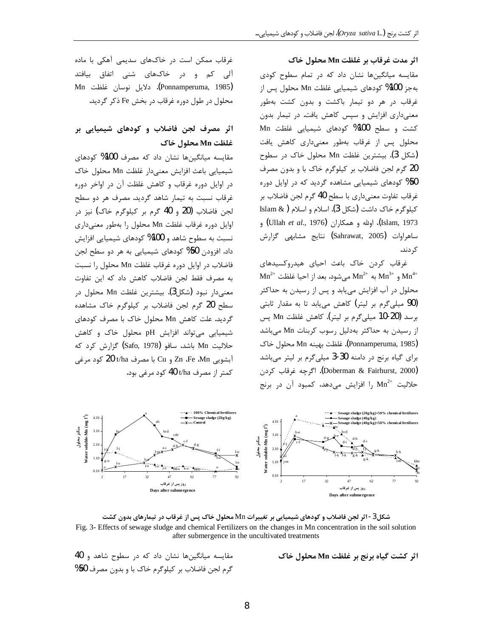اثر مدت غرقاب بر غلظت Mn محلول خاک

مقایسه میانگینها نشان داد که در تمام سطوح کودی بهجز 100% كودهاي شيميايي غلظت Mn محلول پس از غرقاب در هر دو تیمار باکشت و بدون کشت بهطور معنیداری افزایش و سپس کاهش یافت. در تیمار بدون کشت و سطح 100% کودهای شیمیایی غلظت Mn محلول پس از غرقاب بهطور معنیداری کاهش یافت (شكل 3). بيشترين غلظت Mn محلول خاك در سطوح 20 گرم لجن فاضلاب بر كيلوگرم خاك با و بدون مصرف 50% کودهای شیمیایی مشاهده گردید که در اوایل دوره غرقاب تفاوت معنىداري با سطح 40 گرم لجن فاضلاب بر كيلوگرم خاك داشت (شكل 3). اسلام و اسلام ( & Islam Islam, 1973)، اولله و همكاران (Ullah et al., 1976) و ساهراوات (Sahrawat, 2005) نتايج مشابهي گزارش کړ دند.

غرقاب كردن خاك باعث احياى هيدروكسيدهاى  $\text{Mn}^{2+}$  و  $\text{Mn}^{2+}$  به  $\text{Mn}^{2+}$  می شود. بعد از احیا غلظت  $\text{Mn}^{4+}$ محلول در آب افزایش مییابد و پس از رسیدن به حداکثر (90 میلیگرم بر لیتر) کاهش می یابد تا به مقدار ثابتی برسد (20-10 میلیگرم بر لیتر). کاهش غلظت Mn پس از رسیدن به حداکثر بهدلیل رسوب کربنات Mn میباشد (Ponnamperuma, 1985). غلظت بهينه Mn محلول خاک برای گیاه برنج در دامنه 30-3 میلیگرم بر لیتر میباشد (Doberman & Fairhurst, 2000). اگرچه غرقاب کردن حلالیت  $\mathrm{Mn}^{2+}$  را افزایش میدهد، کمبود آن در برنج

غرقاب ممکن است در خاکهای سدیمی آهکی با ماده آلی کم و در خاکهای شنی اتفاق بیافتد (Ponnamperuma, 1985). دلايل نوسان غلظت Mn محلول در طول دوره غرقاب در بخش Fe ذکر گردید.

# اثر مصرف لجن فاضلاب و کودهای شیمیایی بر غلظت Mn محلول خاک

مقایسه میانگینها نشان داد که مصرف 100% کودهای شيميايي باعث افزايش معنىدار غلظت Mn محلول خاك در اوایل دوره غرقاب و کاهش غلظت آن در اواخر دوره غرقاب نسبت به تیمار شاهد گردید. مصرف هر دو سطح لجن فاضلاب (20 و 40 گرم بر کیلوگرم خاک) نیز در اوایل دوره غرقاب غلظت Mn محلول را بهطور معنیداری نسبت به سطوح شاهد و 100% كودهاي شيميايي افزايش داد. افزودن 50% کودهای شیمیایی به هر دو سطح لجن فاضلاب در اوایل دوره غرقاب غلظت Mn محلول را نسبت به مصرف فقط لجن فاضلاب كاهش داد كه اين تفاوت معنىدار نبود (شكل3). بيشترين غلظت Mn محلول در سطح 20 گرم لجن فاضلاب بر کیلوگرم خاک مشاهده گردید. علت کاهش Mn محلول خاک با مصرف کودهای شیمیایی میتواند افزایش pH محلول خاک و کاهش حلاليت Mn باشد. سافو (Safo, 1978) گزارش کرد که آبشویی Zn ،Fe ،Mn و Cu با مصرف t/ha کود مرغی کمتر از مصرف 40 t/ha کود مرغی بود.



شکل3- اثر لجن فاضلاب و کودهای شیمیایی بر تغییرات Mn محلول خاک پس از غرقاب در تیمارهای بدون کشت Fig. 3- Effects of sewage sludge and chemical Fertilizers on the changes in Mn concentration in the soil solution after submergence in the uncultivated treatments

مقایسه میانگینها نشان داد که در سطوح شاهد و 40 گرم لجن فاضلاب بر کیلوگرم خاک با و بدون مصرف 50%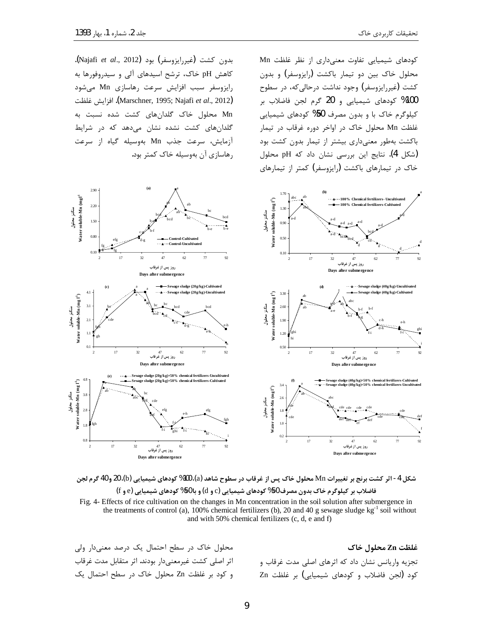i

f

بدون كشت (غيررايزوسفر) بود (Najafi *et al.*, 2012). کاهش pH خاک، ترشح اسیدهای آلی و سیدروفورها به رايزوسفر سبب افزايش سرعت رهاسازى Mn مى شود d¸£ËY§Y .(Marschner, 1995; Najafi *et al*., 2012) Mn محلول خاک گلدانهای کشت شده نسبت به گلدانهای کشت نشده نشان میدهد که در شرایط آزمایش، سرعت جذب Mn بهوسیله گیاه از سرعت

رهاسازی آن بهوسیله خاک کمتر بود.

کودهای شیمیایی تفاوت معنیداری از نظر غلظت Mn محلول خاک بین دو تیمار باکشت (رایزوسفر) و بدون کشت (غیررایزوسفر) وجود نداشت درحالی که، در سطوح 100% كودهاى شيميايي و 20 گرم لجن فاضلاب بر کیلوگرم خاک با و بدون مصرف 50% کودهای شیمیایی غلظت Mn محلول خاک در اواخر دوره غرقاب در تیمار باکشت بهطور معنیداری بیشتر از تیمار بدون کشت بود (شكل 4). نتايج اين بررسي نشان داد كه pH محلول خاک در تیمارهای باکشت (رایزوسفر) کمتر از تیمارهای



شكل 4- اثر كشت برنج بر تغييرات Mn محلول خاک پس از غرقاب در سطوح شاهد (a)، 100% كودهاي شيميايي (b)، 20 و 40 گرم لجن **(**f**Á** e**)ÊËZ̼ÌÉZÅ{¯ %50Z]Á (**d**Á** c**)ÊËZ̼ÌÉZÅ{¯ %50¥»½Á|] Zy¹³Â¸Ì¯][ÔZ§** Fig. 4- Effects of rice cultivation on the changes in Mn concentration in the soil solution after submergence in the treatments of control (a), 100% chemical fertilizers (b), 20 and 40 g sewage sludge  $kg^{-1}$  soil without and with 50% chemical fertilizers (c, d, e and f)

**ZyµÂ¸v» Znd¸£** تجزیه واریانس نشان داد که اثرهای اصلی مدت غرقاب و كود (لجن فاضلاب و كودهاى شيميايي) بر غلظت Zn

محلول خاک در سطح احتمال یک درصد معنیدار ولی اثر اصلي كشت غيرمعني‹ار بودند. اثر متقابل مدت غرقاب و كود بر غلظت Zn محلول خاك در سطح احتمال يك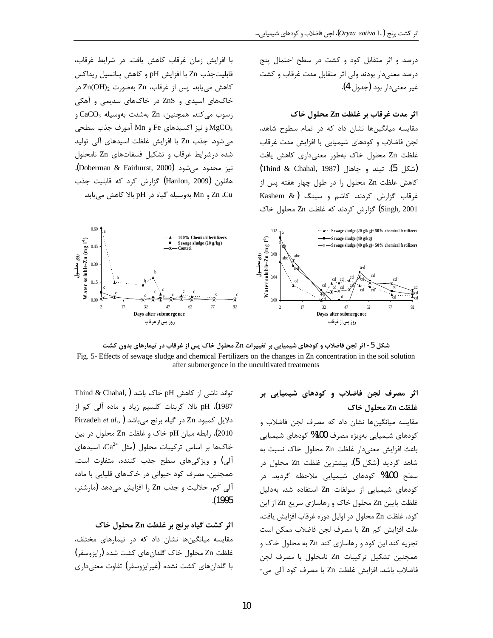درصد و اثر متقابل کود و کشت در سطح احتمال پنج درصد معنیدار بودند ولی اثر متقابل مدت غرقاب و کشت غير معنىدار بود (جدول 4).

### اثر مدت غرقاب بر غلظت Zn محلول خاک

مقایسه میانگینها نشان داد که در تمام سطوح شاهد، لجن فاضلاب و كودهاى شيميايي با افزايش مدت غرقاب غلظت Zn محلول خاک بهطور معنیداری کاهش یافت (شكل 5). تيند و جاهال (Thind & Chahal, 1987) كاهش غلظت Zn محلول را در طول چهار هفته پس از غرقاب گزارش کردند. کاشم و سینگ (Kashem & Singh, 2001) گزارش کردند که غلظت Zn محلول خاک

با افزایش زمان غرقاب کاهش یافت. در شرایط غرقاب، قابلیتجذب Zn با افزایش pH و کاهش پتانسیل ریداکس  $Zn(OH)_2$  كاهش مى يابد. پس از غرقاب، Zn بەصورت 2 $Zn(OH)_2$  در خاکهای اسیدی و ZnS در خاکهای سدیمی و آهکی  $CaCO<sub>3</sub>$  رسوب میکند. همچنین، Zn بهشدت بهوسیله و نیز اکسیدهای Fe و Mn آمورف جذب سطحی Fe می شود. جذب Zn با افزایش غلظت اسیدهای آلی تولید شده درشرایط غرقاب و تشکیل فسفاتهای Zn نامحلول نيز محدود مي شود (Doberman & Fairhurst, 2000). هانلون (Hanlon, 2009) گزارش کرد که قابلیت جذب Zn ،Cu و Mn بهوسیله گیاه در pH بالا کاهش می یابد.



شکل 5- اثر لجن فاضلاب و کودهای شیمیایی بر تغییرات Zn محلول خاک پس از غرقاب در تیمارهای بدون کشت Fig. 5- Effects of sewage sludge and chemical Fertilizers on the changes in Zn concentration in the soil solution after submergence in the uncultivated treatments

اثر مصرف لجن فاضلاب و کودهای شیمیایی بر غلظت Zn محلول خاک

مقايسه ميانگينها نشان داد كه مصرف لجن فاضلاب و کودهای شیمیایی بهویژه مصرف 100% کودهای شیمیایی باعث افزایش معنیدار غلظت Zn محلول خاک نسبت به شاهد گردید (شکل 5). بیشترین غلظت Zn محلول در سطح 100% کودهای شیمیایی ملاحظه گردید. در کودهای شیمیایی از سولفات Zn استفاده شد. بهدلیل غلظت پایین Zn محلول خاک و رهاسازی سریع Zn از این كود، غلظت Zn محلول در اوايل دوره غرقاب افزايش يافت. علت افزایش کم Zn با مصرف لجن فاضلاب ممکن است تجزیه کند این کود و رهاسازی کند Zn به محلول خاک و همچنین تشکیل ترکیبات Zn نامحلول با مصرف لجن فاضلاب باشد. افزایش غلظت Zn با مصرف کود آلی می-

Thind & Chahal, ) خاک باشد pH خاک باشد ( Thind & Chahal, pH .(1987). pH بالا، كربنات كلسيم زياد و ماده آلي كم از Pirzadeh et al., ) در گیاه برنج میباشد Pirzadeh et al., ) 2010). رابطه میان pH خاک و غلظت Zn محلول در بین خاکها بر اساس ترکیبات محلول (مثل  $\mathrm{Ca}^{2+}$ ، اسیدهای آلي) و ويژگي هاي سطح جذب كننده، متفاوت است. همچنین، مصرف کود حیوانی در خاکهای قلیایی با ماده آلي كم، حلاليت و جذب Zn را افزايش مىدهد (مارشنر،  $(1995$ 

## اثر کشت گیاه برنج بر غلظت Zn محلول خاک

مقایسه میانگینها نشان داد که در تیمارهای مختلف، غلظت Zn محلول خاک گلدانهای کشت شده (رایزوسفر) با گلدانهای کشت نشده (غیرایزوسفر) تفاوت معنیداری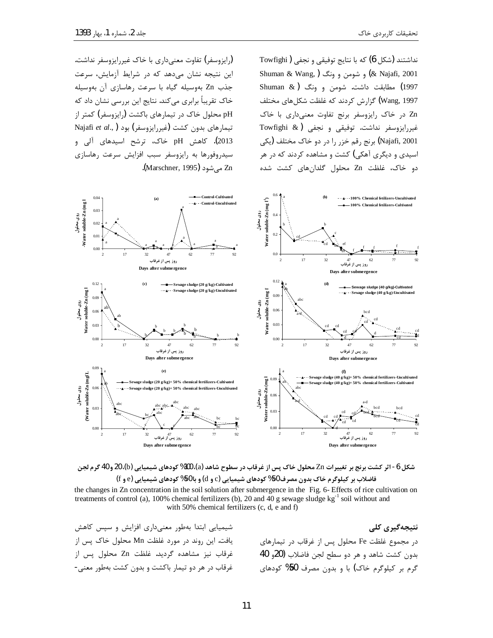نداشتند (شکل 6) که با نتایج توفیقی و نجفی ( Towfighi Shuman & Wang, )²¿ÁÁ¾»ÂÁ (& Najafi, 2001 Shuman  $\&$  ) مطابقت داشت. شومن و ونگ  $(1997)$ ¦¸fz»ÉZŶ°d¸£Ä¯|¿{¯Y³ (Wang, 1997 zn در خاک رایزوسفر برنج تفاوت معنیداری با خاک Towfighi & ) غیررایزوسفر نداشت. توفیقی و نجفی Najafi, 2001) برنج رقم خزر را در دو خاک مختلف (یکی اسیدی و دیگری آهکی) کشت و مشاهده کردند که در هر دو خاک، غلظت Zn محلول گلدانهای کشت شده

.<br>(ایزوسفر) تفاوت معنے داری با خاک غیررایزوسفر نداشت) این نتیجه نشان می دهد که در شرایط آزمایش، سرعت جذب Zn بهوسیله گیاه با سرعت رهاسازی آن بهوسیله خاک تقریباً برابری میکند. نتایج این بررسی نشان داد که pH محلول خاک در تیمارهای باکشت (رایزوسفر) کمتر از تیمارهای بدون کشت (غیررایزوسفر) بود (Najafi et al., 2013). کاهش pH خاک، ترشح اسیدهای آلی و سیدروفورها به رایزوسفر سبب افزایش سرعت رهاسازی .(Marschner, 1995). هـ ,شود



شكل 6- اثر كشت برنج بر تغييرات Zn محلول خاک پس از غرقاب در سطوح شاهد (a)، 100% كودهاي شيميايي (b)، 20 و 40 گرم لجن **(**f**Á** e**)ÊËZ̼ÌÉZÅ{¯ %50Z]Á (**d**Á** c**)ÊËZ̼ÌÉZÅ{¯ %50¥»½Á|] Zy¹³Â¸Ì¯][ÔZ§**

the changes in Zn concentration in the soil solution after submergence in the Fig. 6- Effects of rice cultivation on treatments of control (a), 100% chemical fertilizers (b), 20 and 40 g sewage sludge  $kg^{-1}$  soil without and with 50% chemical fertilizers (c, d, e and f)

> نتیجهگیری کل*ی* در مجموع غلظت Fe محلول پس از غرقاب در تیمارهای  $40\,$ بدون كشت شاهد و هر دو سطح لجن فاضلاب  $(20\,$ و گرم بر کیلوگرم خاک) با و بدون مصرف 50% کودهای

شیمیایی ابتدا بهطور معنیداری افزایش و سپس کاهش یافت. این روند در مورد غلظت Mn محلول خاک پس از غرقاب نيز مشاهده گرديد. غلظت Zn محلول پس از غرقاب در هر دو تیمار باکشت و بدون کشت بهطور معنی-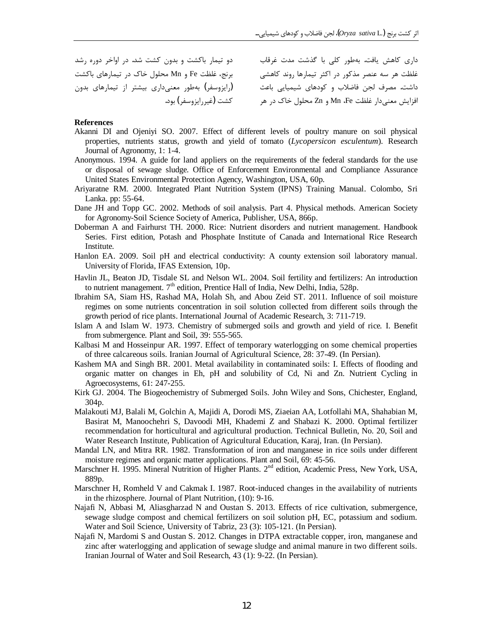دو تیمار باکشت و بدون کشت شد. در اواخر دوره رشد برنج، غلظت Fe و Mn محلول خاک در تیمارهای باکشت (رایزوسفر) بهطور معنیداری بیشتر از تیمارهای بدون) کشت (غیررایزوسفر) بود.

داری کاهش یافت. بهطور کلی با گذشت مدت غرقاب .<br>غلظت هر سه عنصر مذکور در اکثر تیمارها روند کاهشی سست مر<br>داشت. مصرف لجن فاضلاب و کودهای شیمیایی باعث افزايش معنىدار غلظت Mn ،Fe و Zn محلول خاک در هر

#### **References**

- Akanni DI and Ojeniyi SO. 2007. Effect of different levels of poultry manure on soil physical properties, nutrients status, growth and yield of tomato (*Lycopersicon esculentum*). Research Journal of Agronomy, 1: 1-4.
- Anonymous. 1994. A guide for land appliers on the requirements of the federal standards for the use or disposal of sewage sludge. Office of Enforcement Environmental and Compliance Assurance United States Environmental Protection Agency, Washington, USA, 60p.
- Ariyaratne RM. 2000. Integrated Plant Nutrition System (IPNS) Training Manual. Colombo, Sri Lanka. pp: 55-64.
- Dane JH and Topp GC. 2002. Methods of soil analysis. Part 4. Physical methods. American Society for Agronomy-Soil Science Society of America, Publisher, USA, 866p.
- Doberman A and Fairhurst TH. 2000. Rice: Nutrient disorders and nutrient management. Handbook Series. First edition, Potash and Phosphate Institute of Canada and International Rice Research Institute.
- Hanlon EA. 2009. Soil pH and electrical conductivity: A county extension soil laboratory manual. University of Florida, IFAS Extension, 10p.
- Havlin JL, Beaton JD, Tisdale SL and Nelson WL. 2004. Soil fertility and fertilizers: An introduction to nutrient management.  $7<sup>th</sup>$  edition, Prentice Hall of India, New Delhi, India, 528p.
- Ibrahim SA, Siam HS, Rashad MA, Holah Sh, and Abou Zeid ST. 2011. Influence of soil moisture regimes on some nutrients concentration in soil solution collected from different soils through the growth period of rice plants. International Journal of Academic Research, 3: 711-719.
- Islam A and Islam W. 1973. Chemistry of submerged soils and growth and yield of rice. I. Benefit from submergence. Plant and Soil, 39: 555-565.
- Kalbasi M and Hosseinpur AR. 1997. Effect of temporary waterlogging on some chemical properties of three calcareous soils. Iranian Journal of Agricultural Science, 28: 37-49. (In Persian).
- Kashem MA and Singh BR. 2001. Metal availability in contaminated soils: I. Effects of flooding and organic matter on changes in Eh, pH and solubility of Cd, Ni and Zn. Nutrient Cycling in Agroecosystems, 61: 247-255.
- Kirk GJ. 2004. The Biogeochemistry of Submerged Soils. John Wiley and Sons, Chichester, England, 304p.
- Malakouti MJ, Balali M, Golchin A, Majidi A, Dorodi MS, Ziaeian AA, Lotfollahi MA, Shahabian M, Basirat M, Manoochehri S, Davoodi MH, Khademi Z and Shabazi K. 2000. Optimal fertilizer recommendation for horticultural and agricultural production. Technical Bulletin, No. 20, Soil and Water Research Institute, Publication of Agricultural Education, Karaj, Iran. (In Persian).
- Mandal LN, and Mitra RR. 1982. Transformation of iron and manganese in rice soils under different moisture regimes and organic matter applications. Plant and Soil, 69: 45-56.
- Marschner H. 1995. Mineral Nutrition of Higher Plants. 2<sup>nd</sup> edition, Academic Press, New York, USA, 889p.
- Marschner H, Romheld V and Cakmak I. 1987. Root-induced changes in the availability of nutrients in the rhizosphere. Journal of Plant Nutrition, (10): 9-16.
- Najafi N, Abbasi M, Aliasgharzad N and Oustan S. 2013. Effects of rice cultivation, submergence, sewage sludge compost and chemical fertilizers on soil solution pH, EC, potassium and sodium. Water and Soil Science, University of Tabriz, 23 (3): 105-121. (In Persian).
- Najafi N, Mardomi S and Oustan S. 2012. Changes in DTPA extractable copper, iron, manganese and zinc after waterlogging and application of sewage sludge and animal manure in two different soils. Iranian Journal of Water and Soil Research, 43 (1): 9-22. (In Persian).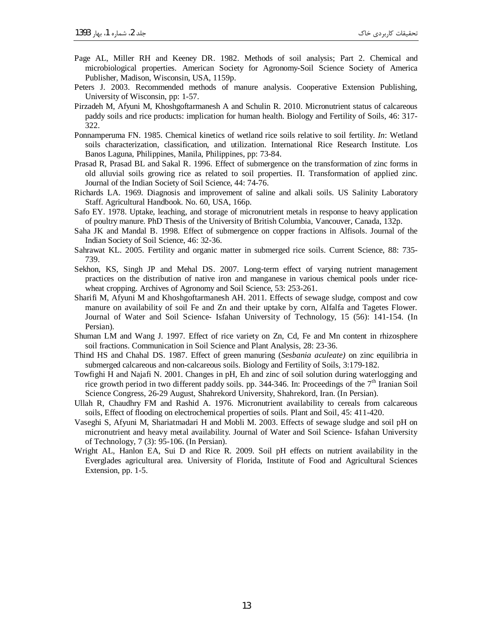- Page AL, Miller RH and Keeney DR. 1982. Methods of soil analysis; Part 2. Chemical and microbiological properties. American Society for Agronomy-Soil Science Society of America Publisher, Madison, Wisconsin, USA, 1159p.
- Peters J. 2003. Recommended methods of manure analysis. Cooperative Extension Publishing, University of Wisconsin, pp: 1-57.
- Pirzadeh M, Afyuni M, Khoshgoftarmanesh A and Schulin R. 2010. Micronutrient status of calcareous paddy soils and rice products: implication for human health. Biology and Fertility of Soils, 46: 317- 322.
- Ponnamperuma FN. 1985. Chemical kinetics of wetland rice soils relative to soil fertility. *In*: Wetland soils characterization, classification, and utilization. International Rice Research Institute. Los Banos Laguna, Philippines, Manila, Philippines, pp: 73-84.
- Prasad R, Prasad BL and Sakal R. 1996. Effect of submergence on the transformation of zinc forms in old alluvial soils growing rice as related to soil properties. ɉ. Transformation of applied zinc. Journal of the Indian Society of Soil Science, 44: 74-76.
- Richards LA. 1969. Diagnosis and improvement of saline and alkali soils. US Salinity Laboratory Staff. Agricultural Handbook. No. 60, USA, 166p.
- Safo EY. 1978. Uptake, leaching, and storage of micronutrient metals in response to heavy application of poultry manure. PhD Thesis of the University of British Columbia, Vancouver, Canada, 132p.
- Saha JK and Mandal B. 1998. Effect of submergence on copper fractions in Alfisols. Journal of the Indian Society of Soil Science, 46: 32-36.
- Sahrawat KL. 2005. Fertility and organic matter in submerged rice soils. Current Science, 88: 735- 739.
- Sekhon, KS, Singh JP and Mehal DS. 2007. Long-term effect of varying nutrient management practices on the distribution of native iron and manganese in various chemical pools under ricewheat cropping. Archives of Agronomy and Soil Science, 53: 253-261.
- Sharifi M, Afyuni M and Khoshgoftarmanesh AH. 2011. Effects of sewage sludge, compost and cow manure on availability of soil Fe and Zn and their uptake by corn, Alfalfa and Tagetes Flower. Journal of Water and Soil Science- Isfahan University of Technology, 15 (56): 141-154. (In Persian).
- Shuman LM and Wang J. 1997. Effect of rice variety on Zn, Cd, Fe and Mn content in rhizosphere soil fractions. Communication in Soil Science and Plant Analysis, 28: 23-36.
- Thind HS and Chahal DS. 1987. Effect of green manuring (*Sesbania aculeate)* on zinc equilibria in submerged calcareous and non-calcareous soils. Biology and Fertility of Soils, 3:179-182.
- Towfighi H and Najafi N. 2001. Changes in pH, Eh and zinc of soil solution during waterlogging and rice growth period in two different paddy soils. pp. 344-346. In: Proceedings of the 7<sup>th</sup> Iranian Soil Science Congress, 26-29 August, Shahrekord University, Shahrekord, Iran. (In Persian).
- Ullah R, Chaudhry FM and Rashid A. 1976. Micronutrient availability to cereals from calcareous soils, Effect of flooding on electrochemical properties of soils. Plant and Soil, 45: 411-420.
- Vaseghi S, Afyuni M, Shariatmadari H and Mobli M. 2003. Effects of sewage sludge and soil pH on micronutrient and heavy metal availability. Journal of Water and Soil Science- Isfahan University of Technology, 7 (3): 95-106. (In Persian).
- Wright AL, Hanlon EA, Sui D and Rice R. 2009. Soil pH effects on nutrient availability in the Everglades agricultural area. University of Florida, Institute of Food and Agricultural Sciences Extension, pp. 1-5.